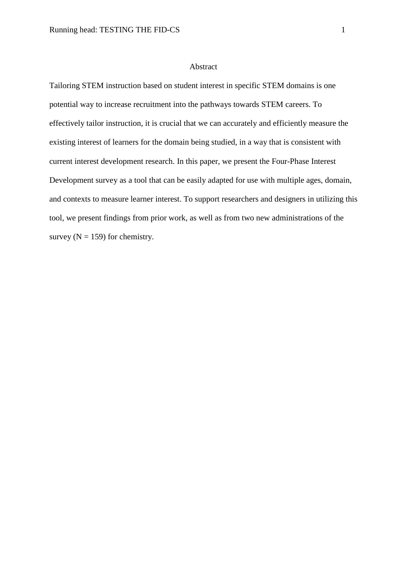## Abstract

Tailoring STEM instruction based on student interest in specific STEM domains is one potential way to increase recruitment into the pathways towards STEM careers. To effectively tailor instruction, it is crucial that we can accurately and efficiently measure the existing interest of learners for the domain being studied, in a way that is consistent with current interest development research. In this paper, we present the Four-Phase Interest Development survey as a tool that can be easily adapted for use with multiple ages, domain, and contexts to measure learner interest. To support researchers and designers in utilizing this tool, we present findings from prior work, as well as from two new administrations of the survey  $(N = 159)$  for chemistry.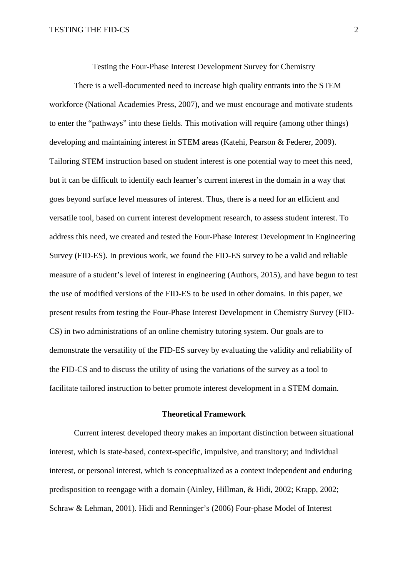Testing the Four-Phase Interest Development Survey for Chemistry

There is a well-documented need to increase high quality entrants into the STEM workforce (National Academies Press, 2007), and we must encourage and motivate students to enter the "pathways" into these fields. This motivation will require (among other things) developing and maintaining interest in STEM areas (Katehi, Pearson & Federer, 2009). Tailoring STEM instruction based on student interest is one potential way to meet this need, but it can be difficult to identify each learner's current interest in the domain in a way that goes beyond surface level measures of interest. Thus, there is a need for an efficient and versatile tool, based on current interest development research, to assess student interest. To address this need, we created and tested the Four-Phase Interest Development in Engineering Survey (FID-ES). In previous work, we found the FID-ES survey to be a valid and reliable measure of a student's level of interest in engineering (Authors, 2015), and have begun to test the use of modified versions of the FID-ES to be used in other domains. In this paper, we present results from testing the Four-Phase Interest Development in Chemistry Survey (FID-CS) in two administrations of an online chemistry tutoring system. Our goals are to demonstrate the versatility of the FID-ES survey by evaluating the validity and reliability of the FID-CS and to discuss the utility of using the variations of the survey as a tool to facilitate tailored instruction to better promote interest development in a STEM domain.

### **Theoretical Framework**

Current interest developed theory makes an important distinction between situational interest, which is state-based, context-specific, impulsive, and transitory; and individual interest, or personal interest, which is conceptualized as a context independent and enduring predisposition to reengage with a domain (Ainley, Hillman, & Hidi, 2002; Krapp, 2002; Schraw & Lehman, 2001). Hidi and Renninger's (2006) Four-phase Model of Interest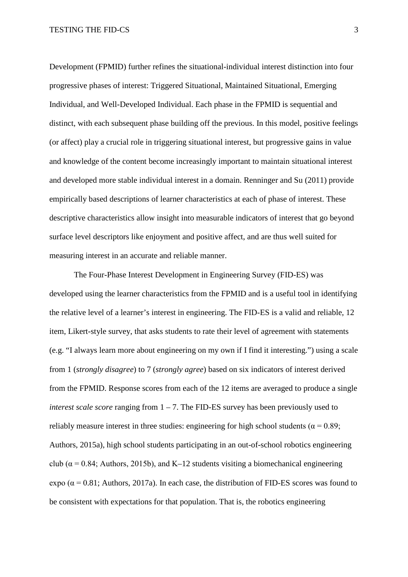Development (FPMID) further refines the situational-individual interest distinction into four progressive phases of interest: Triggered Situational, Maintained Situational, Emerging Individual, and Well-Developed Individual. Each phase in the FPMID is sequential and distinct, with each subsequent phase building off the previous. In this model, positive feelings (or affect) play a crucial role in triggering situational interest, but progressive gains in value and knowledge of the content become increasingly important to maintain situational interest and developed more stable individual interest in a domain. Renninger and Su (2011) provide empirically based descriptions of learner characteristics at each of phase of interest. These descriptive characteristics allow insight into measurable indicators of interest that go beyond surface level descriptors like enjoyment and positive affect, and are thus well suited for measuring interest in an accurate and reliable manner.

The Four-Phase Interest Development in Engineering Survey (FID-ES) was developed using the learner characteristics from the FPMID and is a useful tool in identifying the relative level of a learner's interest in engineering. The FID-ES is a valid and reliable, 12 item, Likert-style survey, that asks students to rate their level of agreement with statements (e.g. "I always learn more about engineering on my own if I find it interesting.") using a scale from 1 (*strongly disagree*) to 7 (*strongly agree*) based on six indicators of interest derived from the FPMID. Response scores from each of the 12 items are averaged to produce a single *interest scale score* ranging from 1 – 7. The FID-ES survey has been previously used to reliably measure interest in three studies: engineering for high school students ( $\alpha$  = 0.89; Authors, 2015a), high school students participating in an out-of-school robotics engineering club ( $\alpha$  = 0.84; Authors, 2015b), and K–12 students visiting a biomechanical engineering expo ( $\alpha$  = 0.81; Authors, 2017a). In each case, the distribution of FID-ES scores was found to be consistent with expectations for that population. That is, the robotics engineering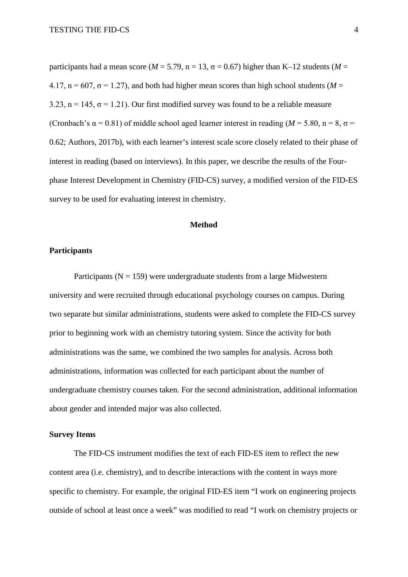participants had a mean score ( $M = 5.79$ , n = 13,  $\sigma = 0.67$ ) higher than K–12 students ( $M =$ 4.17,  $n = 607$ ,  $\sigma = 1.27$ ), and both had higher mean scores than high school students (*M* = 3.23,  $n = 145$ ,  $\sigma = 1.21$ ). Our first modified survey was found to be a reliable measure (Cronbach's  $\alpha$  = 0.81) of middle school aged learner interest in reading ( $M = 5.80$ , n = 8,  $\sigma$  = 0.62; Authors, 2017b), with each learner's interest scale score closely related to their phase of interest in reading (based on interviews). In this paper, we describe the results of the Fourphase Interest Development in Chemistry (FID-CS) survey, a modified version of the FID-ES survey to be used for evaluating interest in chemistry.

# **Method**

### **Participants**

Participants ( $N = 159$ ) were undergraduate students from a large Midwestern university and were recruited through educational psychology courses on campus. During two separate but similar administrations, students were asked to complete the FID-CS survey prior to beginning work with an chemistry tutoring system. Since the activity for both administrations was the same, we combined the two samples for analysis. Across both administrations, information was collected for each participant about the number of undergraduate chemistry courses taken. For the second administration, additional information about gender and intended major was also collected.

# **Survey Items**

The FID-CS instrument modifies the text of each FID-ES item to reflect the new content area (i.e. chemistry), and to describe interactions with the content in ways more specific to chemistry. For example, the original FID-ES item "I work on engineering projects outside of school at least once a week" was modified to read "I work on chemistry projects or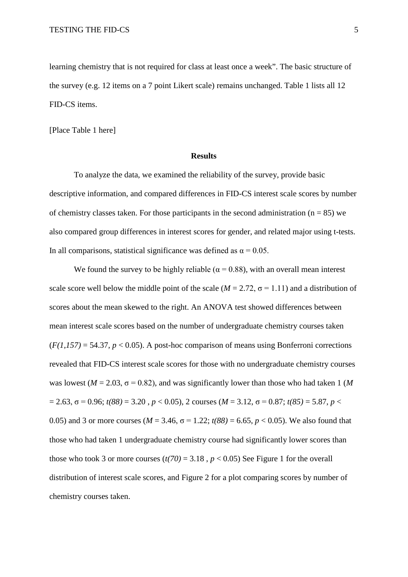learning chemistry that is not required for class at least once a week". The basic structure of the survey (e.g. 12 items on a 7 point Likert scale) remains unchanged. Table 1 lists all 12 FID-CS items.

[Place Table 1 here]

## **Results**

To analyze the data, we examined the reliability of the survey, provide basic descriptive information, and compared differences in FID-CS interest scale scores by number of chemistry classes taken. For those participants in the second administration ( $n = 85$ ) we also compared group differences in interest scores for gender, and related major using t-tests. In all comparisons, statistical significance was defined as  $\alpha = 0.05$ .

We found the survey to be highly reliable ( $\alpha$  = 0.88), with an overall mean interest scale score well below the middle point of the scale ( $M = 2.72$ ,  $\sigma = 1.11$ ) and a distribution of scores about the mean skewed to the right. An ANOVA test showed differences between mean interest scale scores based on the number of undergraduate chemistry courses taken  $(F(1,157) = 54.37, p < 0.05)$ . A post-hoc comparison of means using Bonferroni corrections revealed that FID-CS interest scale scores for those with no undergraduate chemistry courses was lowest ( $M = 2.03$ ,  $\sigma = 0.82$ ), and was significantly lower than those who had taken 1 (M)  $= 2.63$ ,  $\sigma = 0.96$ ; *t(88)* = 3.20, *p* < 0.05), 2 courses (*M* = 3.12,  $\sigma = 0.87$ ; *t(85)* = 5.87, *p* < 0.05) and 3 or more courses ( $M = 3.46$ ,  $\sigma = 1.22$ ;  $t(88) = 6.65$ ,  $p < 0.05$ ). We also found that those who had taken 1 undergraduate chemistry course had significantly lower scores than those who took 3 or more courses  $(t/70) = 3.18$ ,  $p < 0.05$ ) See Figure 1 for the overall distribution of interest scale scores, and Figure 2 for a plot comparing scores by number of chemistry courses taken.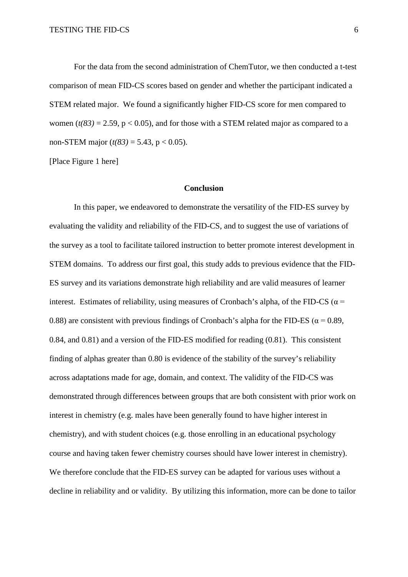For the data from the second administration of ChemTutor, we then conducted a t-test comparison of mean FID-CS scores based on gender and whether the participant indicated a STEM related major. We found a significantly higher FID-CS score for men compared to women  $(t(83) = 2.59$ ,  $p < 0.05$ ), and for those with a STEM related major as compared to a non-STEM major  $(t(83) = 5.43, p < 0.05)$ .

[Place Figure 1 here]

### **Conclusion**

In this paper, we endeavored to demonstrate the versatility of the FID-ES survey by evaluating the validity and reliability of the FID-CS, and to suggest the use of variations of the survey as a tool to facilitate tailored instruction to better promote interest development in STEM domains. To address our first goal, this study adds to previous evidence that the FID-ES survey and its variations demonstrate high reliability and are valid measures of learner interest. Estimates of reliability, using measures of Cronbach's alpha, of the FID-CS ( $\alpha$  = 0.88) are consistent with previous findings of Cronbach's alpha for the FID-ES ( $\alpha$  = 0.89, 0.84, and 0.81) and a version of the FID-ES modified for reading (0.81). This consistent finding of alphas greater than 0.80 is evidence of the stability of the survey's reliability across adaptations made for age, domain, and context. The validity of the FID-CS was demonstrated through differences between groups that are both consistent with prior work on interest in chemistry (e.g. males have been generally found to have higher interest in chemistry), and with student choices (e.g. those enrolling in an educational psychology course and having taken fewer chemistry courses should have lower interest in chemistry). We therefore conclude that the FID-ES survey can be adapted for various uses without a decline in reliability and or validity. By utilizing this information, more can be done to tailor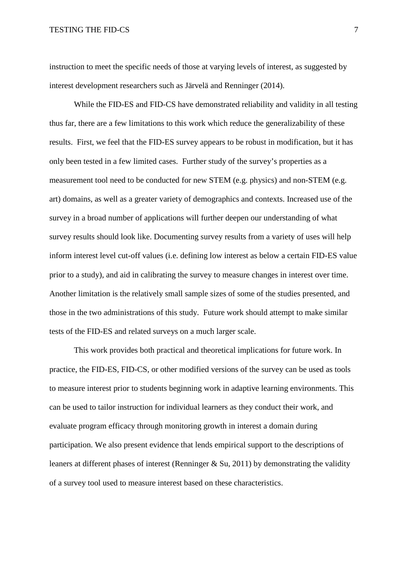## TESTING THE FID-CS 7

instruction to meet the specific needs of those at varying levels of interest, as suggested by interest development researchers such as Järvelä and Renninger (2014).

While the FID-ES and FID-CS have demonstrated reliability and validity in all testing thus far, there are a few limitations to this work which reduce the generalizability of these results. First, we feel that the FID-ES survey appears to be robust in modification, but it has only been tested in a few limited cases. Further study of the survey's properties as a measurement tool need to be conducted for new STEM (e.g. physics) and non-STEM (e.g. art) domains, as well as a greater variety of demographics and contexts. Increased use of the survey in a broad number of applications will further deepen our understanding of what survey results should look like. Documenting survey results from a variety of uses will help inform interest level cut-off values (i.e. defining low interest as below a certain FID-ES value prior to a study), and aid in calibrating the survey to measure changes in interest over time. Another limitation is the relatively small sample sizes of some of the studies presented, and those in the two administrations of this study. Future work should attempt to make similar tests of the FID-ES and related surveys on a much larger scale.

This work provides both practical and theoretical implications for future work. In practice, the FID-ES, FID-CS, or other modified versions of the survey can be used as tools to measure interest prior to students beginning work in adaptive learning environments. This can be used to tailor instruction for individual learners as they conduct their work, and evaluate program efficacy through monitoring growth in interest a domain during participation. We also present evidence that lends empirical support to the descriptions of leaners at different phases of interest (Renninger & Su, 2011) by demonstrating the validity of a survey tool used to measure interest based on these characteristics.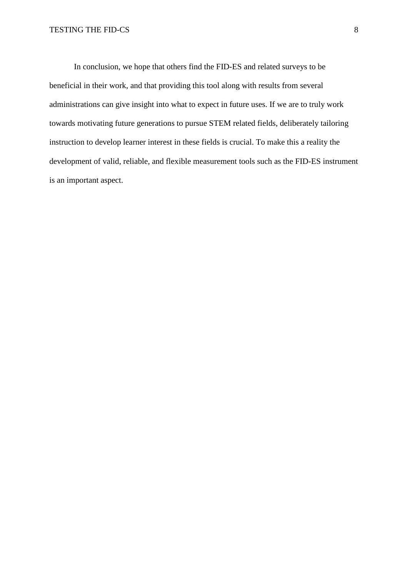In conclusion, we hope that others find the FID-ES and related surveys to be beneficial in their work, and that providing this tool along with results from several administrations can give insight into what to expect in future uses. If we are to truly work towards motivating future generations to pursue STEM related fields, deliberately tailoring instruction to develop learner interest in these fields is crucial. To make this a reality the development of valid, reliable, and flexible measurement tools such as the FID-ES instrument is an important aspect.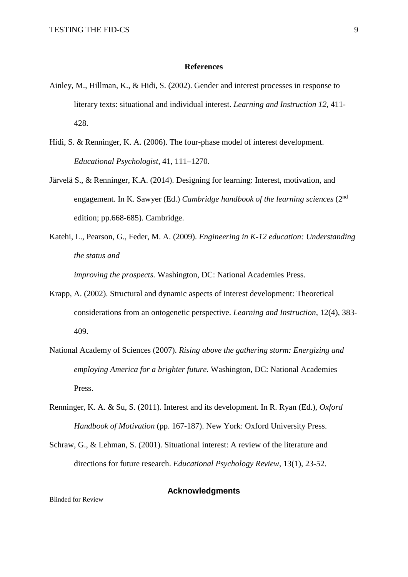#### **References**

- Ainley, M., Hillman, K., & Hidi, S. (2002). Gender and interest processes in response to literary texts: situational and individual interest. *Learning and Instruction 12*, 411- 428.
- Hidi, S. & Renninger, K. A. (2006). The four-phase model of interest development. *Educational Psychologist*, 41, 111–1270.
- Järvelä S., & Renninger, K.A. (2014). Designing for learning: Interest, motivation, and engagement. In K. Sawyer (Ed.) *Cambridge handbook of the learning sciences* (2nd edition; pp.668-685). Cambridge.
- Katehi, L., Pearson, G., Feder, M. A. (2009). *Engineering in K-12 education: Understanding the status and*

*improving the prospects.* Washington, DC: National Academies Press.

- Krapp, A. (2002). Structural and dynamic aspects of interest development: Theoretical considerations from an ontogenetic perspective. *Learning and Instruction*, 12(4), 383- 409.
- National Academy of Sciences (2007). *Rising above the gathering storm: Energizing and employing America for a brighter future*. Washington, DC: National Academies Press.
- Renninger, K. A. & Su, S. (2011). Interest and its development. In R. Ryan (Ed.), *Oxford Handbook of Motivation* (pp. 167-187). New York: Oxford University Press.
- Schraw, G., & Lehman, S. (2001). Situational interest: A review of the literature and directions for future research. *Educational Psychology Review*, 13(1), 23-52.

# **Acknowledgments**

Blinded for Review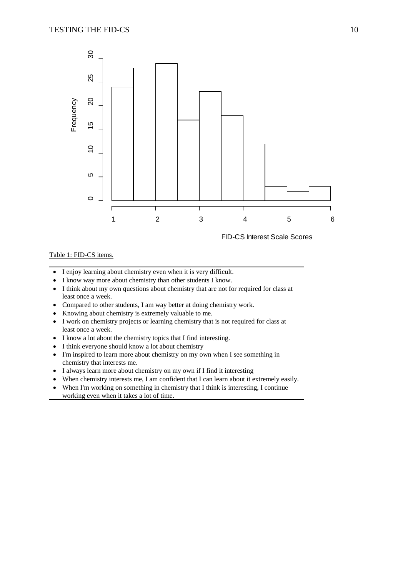

### Table 1: FID-CS items.

- I enjoy learning about chemistry even when it is very difficult.
- I know way more about chemistry than other students I know.
- I think about my own questions about chemistry that are not for required for class at least once a week.
- Compared to other students, I am way better at doing chemistry work.
- Knowing about chemistry is extremely valuable to me.
- I work on chemistry projects or learning chemistry that is not required for class at least once a week.
- I know a lot about the chemistry topics that I find interesting.
- I think everyone should know a lot about chemistry
- I'm inspired to learn more about chemistry on my own when I see something in chemistry that interests me.
- I always learn more about chemistry on my own if I find it interesting
- When chemistry interests me, I am confident that I can learn about it extremely easily.
- When I'm working on something in chemistry that I think is interesting, I continue working even when it takes a lot of time.